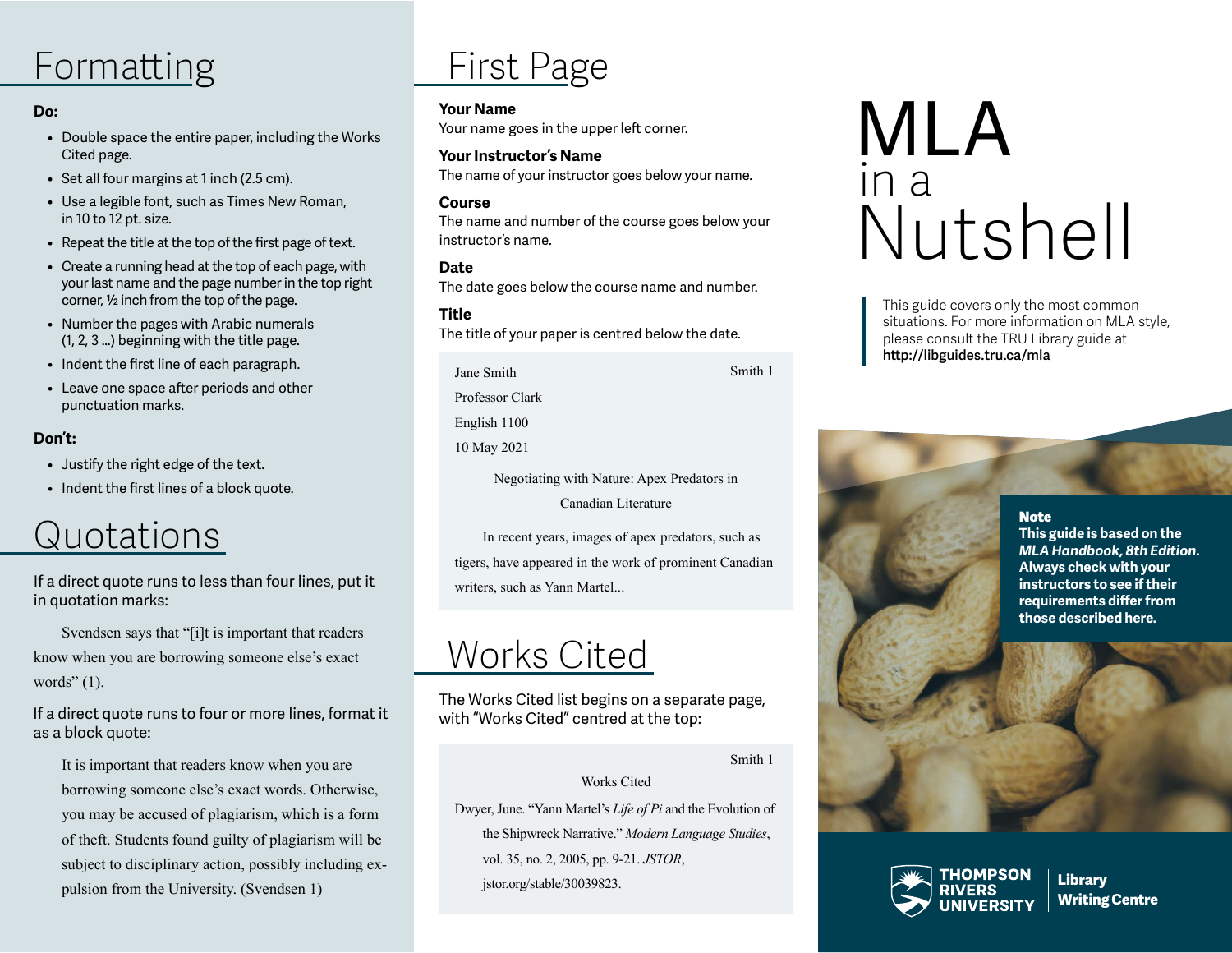# Formatting

# **Do:**

- Double space the entire paper, including the Works Cited page.
- Set all four margins at 1 inch (2.5 cm).
- Use a legible font, such as Times New Roman, in 10 to 12 pt. size.
- Repeat the title at the top of the first page of text.
- Create a running head at the top of each page, with your last name and the page number in the top right corner, ½ inch from the top of the page.
- Number the pages with Arabic numerals (1, 2, 3 …) beginning with the title page.
- Indent the first line of each paragraph.
- Leave one space after periods and other punctuation marks.

# **Don't:**

- Justify the right edge of the text.
- Indent the first lines of a block quote.

# Quotations

If a direct quote runs to less than four lines, put it in quotation marks:

Svendsen says that "[i]t is important that readers know when you are borrowing someone else's exact words" (1).

If a direct quote runs to four or more lines, format it as a block quote:

It is important that readers know when you are borrowing someone else's exact words. Otherwise, you may be accused of plagiarism, which is a form of theft. Students found guilty of plagiarism will be subject to disciplinary action, possibly including expulsion from the University. (Svendsen 1)

# First Page

#### **Your Name**

Your name goes in the upper left corner.

**Your Instructor's Name** The name of your instructor goes below your name.

#### **Course**

The name and number of the course goes below your instructor's name.

#### **Date**

The date goes below the course name and number.

# **Title**

The title of your paper is centred below the date.

| Jane Smith                                 | Smith 1 |
|--------------------------------------------|---------|
| Professor Clark                            |         |
| English 1100                               |         |
| 10 May 2021                                |         |
| Negotiating with Nature: Apex Predators in |         |

Canadian Literature

In recent years, images of apex predators, such as tigers, have appeared in the work of prominent Canadian writers, such as Yann Martel...

# Works Cited

The Works Cited list begins on a separate page, with "Works Cited" centred at the top:

Smith 1

#### Works Cited

Dwyer, June. "Yann Martel's *Life of Pi* and the Evolution of the Shipwreck Narrative." *Modern Language Studies*, vol. 35, no. 2, 2005, pp. 9-21. *JSTOR*,

jstor.org/stable/30039823.

# MLA in a Nutshell

This guide covers only the most common situations. For more information on MLA style, please consult the TRU Library guide at **http://libguides.tru.ca/mla**

#### **Note**

**This guide is based on the**  *MLA Handbook, 8th Edition***. Always check with your instructors to see if their requirements differ from those described here.**